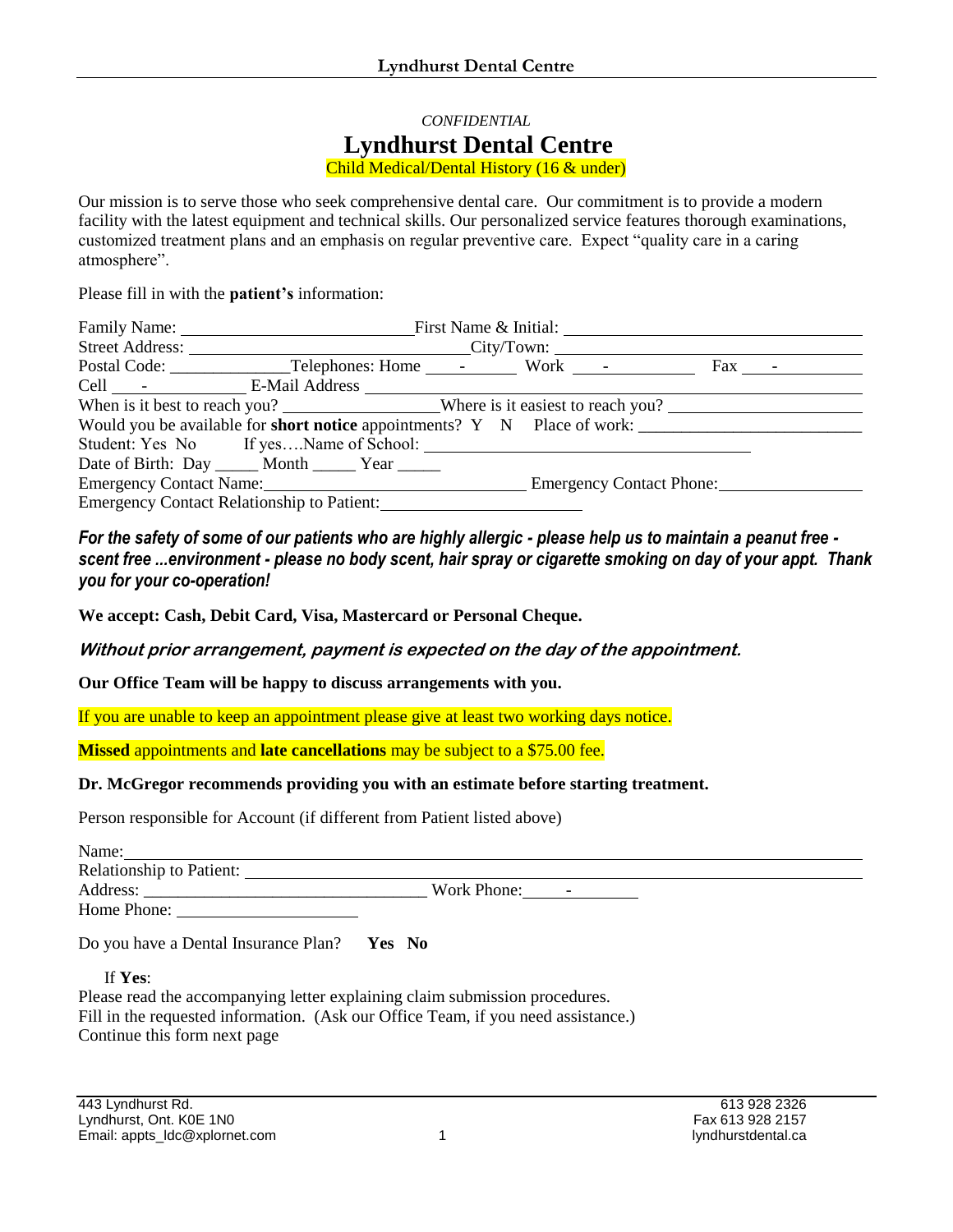## *CONFIDENTIAL* **Lyndhurst Dental Centre** Child Medical/Dental History (16 & under)

Our mission is to serve those who seek comprehensive dental care. Our commitment is to provide a modern facility with the latest equipment and technical skills. Our personalized service features thorough examinations, customized treatment plans and an emphasis on regular preventive care. Expect "quality care in a caring atmosphere".

Please fill in with the **patient's** information:

| Family Name: First Name & Initial:                                                       |  |  |  |  |                                          |
|------------------------------------------------------------------------------------------|--|--|--|--|------------------------------------------|
| Street Address: City/Town:                                                               |  |  |  |  |                                          |
|                                                                                          |  |  |  |  | $\text{Fax}$ - $\overline{\phantom{a}1}$ |
|                                                                                          |  |  |  |  |                                          |
| When is it best to reach you? Where is it easiest to reach you?                          |  |  |  |  |                                          |
| Would you be available for <b>short notice</b> appointments? $Y \times N$ Place of work: |  |  |  |  |                                          |
|                                                                                          |  |  |  |  |                                          |
| Date of Birth: Day ______ Month ______ Year _____                                        |  |  |  |  |                                          |
| Emergency Contact Name: Emergency Contact Phone:                                         |  |  |  |  |                                          |
| Emergency Contact Relationship to Patient:                                               |  |  |  |  |                                          |

*For the safety of some of our patients who are highly allergic - please help us to maintain a peanut free scent free ...environment - please no body scent, hair spray or cigarette smoking on day of your appt. Thank you for your co-operation!*

**We accept: Cash, Debit Card, Visa, Mastercard or Personal Cheque.**

**Without prior arrangement, payment is expected on the day of the appointment.**

**Our Office Team will be happy to discuss arrangements with you.** 

If you are unable to keep an appointment please give at least two working days notice.

**Missed** appointments and **late cancellations** may be subject to a \$75.00 fee.

## **Dr. McGregor recommends providing you with an estimate before starting treatment.**

Person responsible for Account (if different from Patient listed above)

| Name:                                       |                                                                                                                                                                                                                                                                                                                                          |
|---------------------------------------------|------------------------------------------------------------------------------------------------------------------------------------------------------------------------------------------------------------------------------------------------------------------------------------------------------------------------------------------|
| Relationship to Patient:                    |                                                                                                                                                                                                                                                                                                                                          |
|                                             | Work Phone: $\qquad \qquad$ $\qquad$ $\qquad$ $\qquad$ $\qquad$ $\qquad$ $\qquad$ $\qquad$ $\qquad$ $\qquad$ $\qquad$ $\qquad$ $\qquad$ $\qquad$ $\qquad$ $\qquad$ $\qquad$ $\qquad$ $\qquad$ $\qquad$ $\qquad$ $\qquad$ $\qquad$ $\qquad$ $\qquad$ $\qquad$ $\qquad$ $\qquad$ $\qquad$ $\qquad$ $\qquad$ $\qquad$ $\qquad$ $\qquad$ $\$ |
| Home Phone:                                 |                                                                                                                                                                                                                                                                                                                                          |
| Do you have a Dental Insurance Plan? Yes No |                                                                                                                                                                                                                                                                                                                                          |
| If Yes:                                     |                                                                                                                                                                                                                                                                                                                                          |

Please read the accompanying letter explaining claim submission procedures. Fill in the requested information. (Ask our Office Team, if you need assistance.) Continue this form next page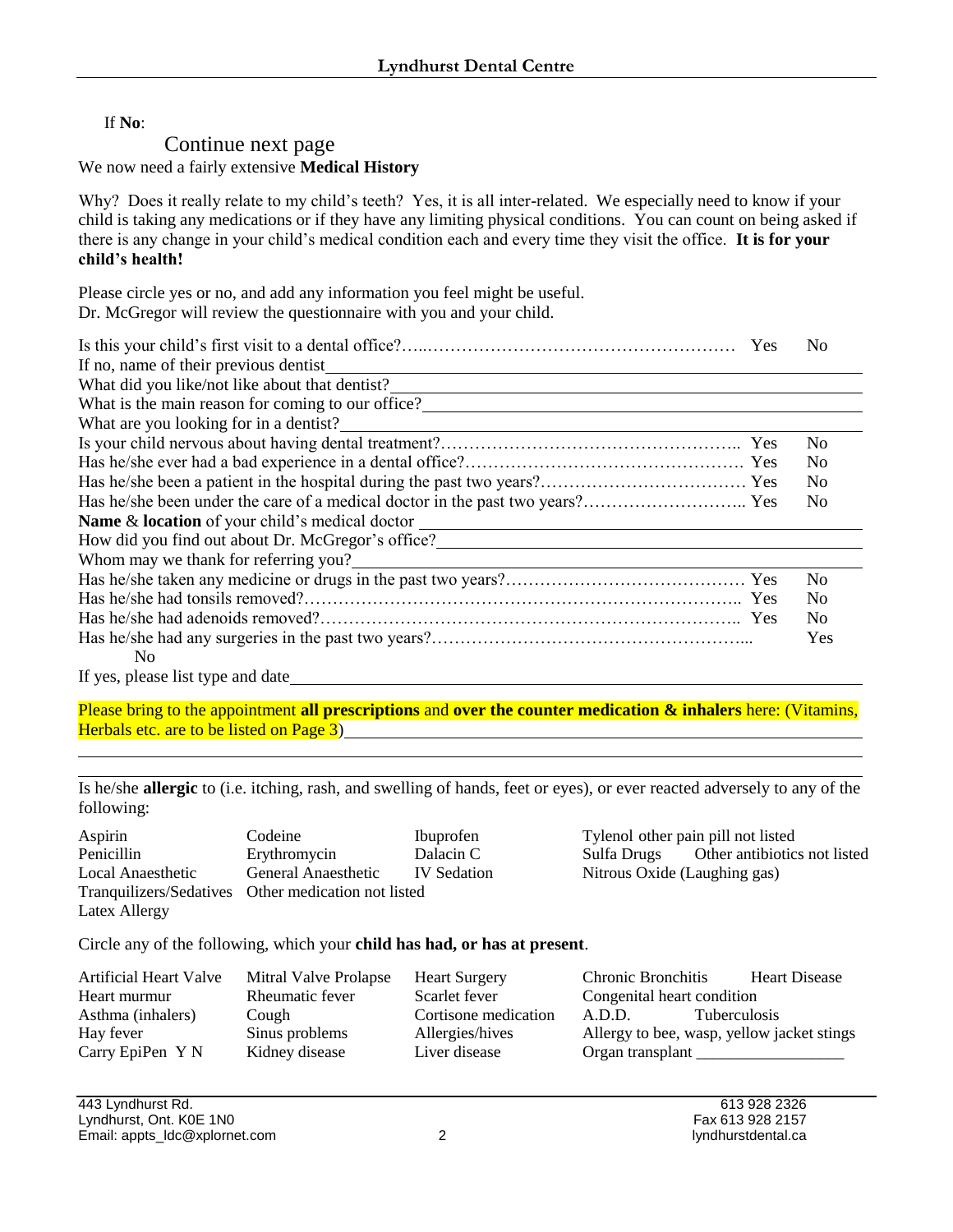If **No**:

## Continue next page We now need a fairly extensive **Medical History**

Why? Does it really relate to my child's teeth? Yes, it is all inter-related. We especially need to know if your child is taking any medications or if they have any limiting physical conditions. You can count on being asked if there is any change in your child's medical condition each and every time they visit the office. **It is for your child's health!**

Please circle yes or no, and add any information you feel might be useful. Dr. McGregor will review the questionnaire with you and your child.

|                                                                     | N <sub>0</sub> |
|---------------------------------------------------------------------|----------------|
| If no, name of their previous dentist                               |                |
| What did you like/not like about that dentist?<br><u>University</u> |                |
| What is the main reason for coming to our office?                   |                |
| What are you looking for in a dentist?                              |                |
|                                                                     | N <sub>0</sub> |
|                                                                     | N <sub>0</sub> |
|                                                                     | N <sub>0</sub> |
|                                                                     | N <sub>0</sub> |
| <b>Name &amp; location</b> of your child's medical doctor           |                |
| How did you find out about Dr. McGregor's office?                   |                |
| Whom may we thank for referring you?                                |                |
|                                                                     | N <sub>0</sub> |
|                                                                     | N <sub>0</sub> |
|                                                                     | N <sub>0</sub> |
|                                                                     | Yes            |
| N <sub>0</sub>                                                      |                |
| If yes, please list type and date                                   |                |

Please bring to the appointment **all prescriptions** and **over the counter medication & inhalers** here: (Vitamins, Herbals etc. are to be listed on Page 3)

j. Is he/she **allergic** to (i.e. itching, rash, and swelling of hands, feet or eyes), or ever reacted adversely to any of the following:

| Aspirin           | Codeine                                             | Ibuprofen          |
|-------------------|-----------------------------------------------------|--------------------|
| Penicillin        | Erythromycin                                        | Dalacin C          |
| Local Anaesthetic | General Anaesthetic                                 | <b>IV</b> Sedation |
|                   | Tranquilizers/Sedatives Other medication not listed |                    |
| Latex Allergy     |                                                     |                    |

Tylenol other pain pill not listed Sulfa Drugs Other antibiotics not listed Nitrous Oxide (Laughing gas)

Circle any of the following, which your **child has had, or has at present**.

| <b>Artificial Heart Valve</b> | Mitral Valve Prolapse | <b>Heart Surgery</b> | Chronic Bronchitis                         | <b>Heart Disease</b> |
|-------------------------------|-----------------------|----------------------|--------------------------------------------|----------------------|
| Heart murmur                  | Rheumatic fever       | Scarlet fever        | Congenital heart condition                 |                      |
| Asthma (inhalers)             | Cough                 | Cortisone medication | <b>Tuberculosis</b><br>A.D.D.              |                      |
| Hay fever                     | Sinus problems        | Allergies/hives      | Allergy to bee, wasp, yellow jacket stings |                      |
| Carry EpiPen Y N              | Kidney disease        | Liver disease        | Organ transplant                           |                      |

443 Lyndhurst Rd. 613 928 2326 Lyndhurst, Ont. K0E 1N0 Fax 613 928 2157 Email: appts\_ldc@xplornet.com 2 2 lyndhurstdental.ca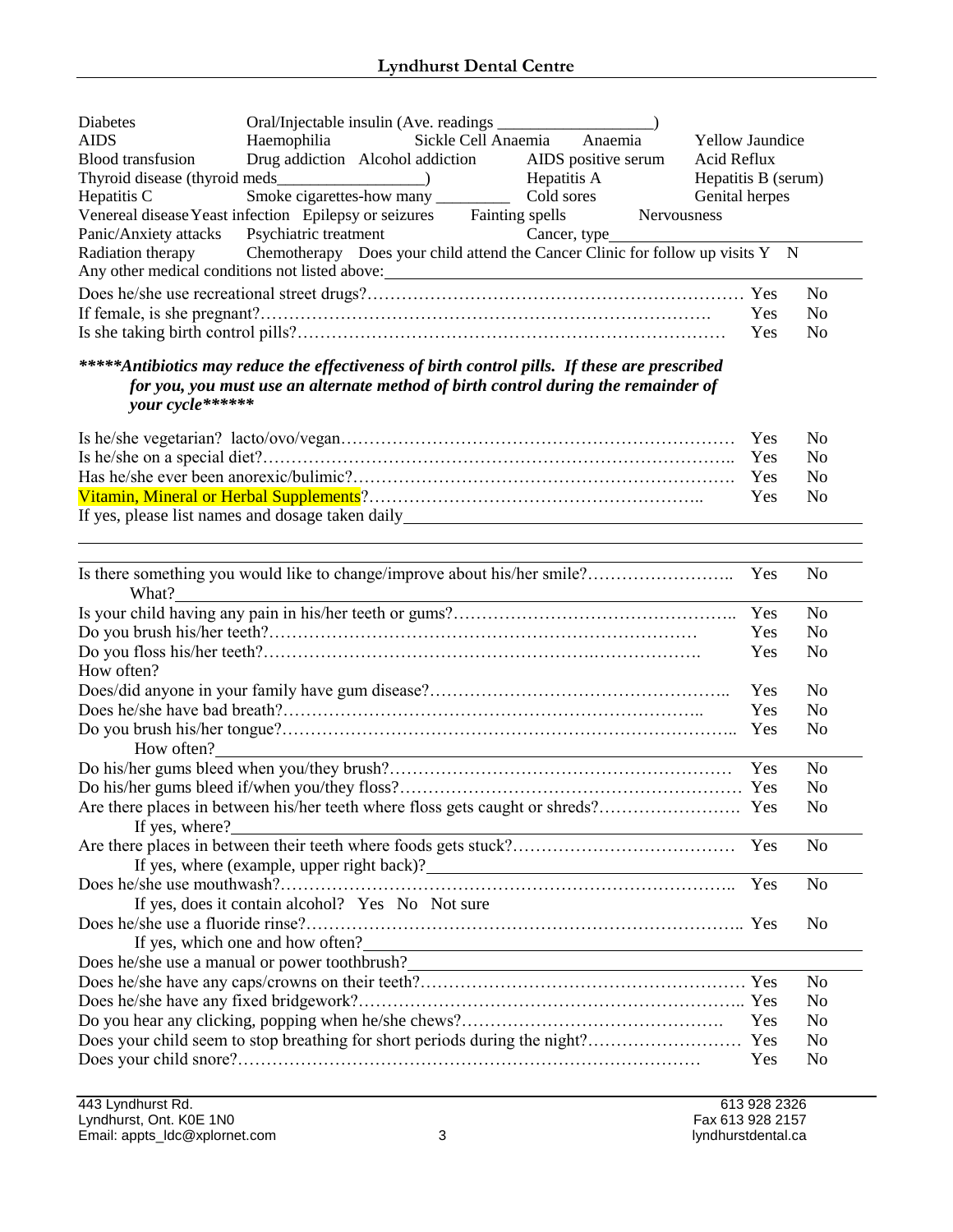| <b>Diabetes</b>                                                                                |                                                                                                 |                                                            |                             |                     |             |                        |                |
|------------------------------------------------------------------------------------------------|-------------------------------------------------------------------------------------------------|------------------------------------------------------------|-----------------------------|---------------------|-------------|------------------------|----------------|
| <b>AIDS</b>                                                                                    | Haemophilia                                                                                     |                                                            | Sickle Cell Anaemia Anaemia |                     |             | <b>Yellow Jaundice</b> |                |
| <b>Blood</b> transfusion                                                                       | Drug addiction Alcohol addiction                                                                |                                                            |                             | AIDS positive serum |             | Acid Reflux            |                |
|                                                                                                |                                                                                                 |                                                            |                             | Hepatitis A         |             | Hepatitis B (serum)    |                |
| Hepatitis C                                                                                    |                                                                                                 |                                                            |                             |                     |             | Genital herpes         |                |
| Venereal disease Yeast infection Epilepsy or seizures Fainting spells                          |                                                                                                 |                                                            |                             |                     | Nervousness |                        |                |
| Panic/Anxiety attacks Psychiatric treatment                                                    |                                                                                                 |                                                            |                             | Cancer, type_       |             |                        |                |
| Radiation therapy                                                                              | Chemotherapy Does your child attend the Cancer Clinic for follow up visits $Y \times N$         |                                                            |                             |                     |             |                        |                |
| Any other medical conditions not listed above:___________________________________              |                                                                                                 |                                                            |                             |                     |             |                        |                |
|                                                                                                |                                                                                                 |                                                            |                             |                     |             |                        | N <sub>0</sub> |
|                                                                                                |                                                                                                 |                                                            |                             |                     |             | Yes                    | N <sub>0</sub> |
|                                                                                                |                                                                                                 |                                                            |                             |                     |             | Yes                    | N <sub>o</sub> |
|                                                                                                |                                                                                                 |                                                            |                             |                     |             |                        |                |
| ***** Antibiotics may reduce the effectiveness of birth control pills. If these are prescribed |                                                                                                 |                                                            |                             |                     |             |                        |                |
| for you, you must use an alternate method of birth control during the remainder of             |                                                                                                 |                                                            |                             |                     |             |                        |                |
| vour cycle******                                                                               |                                                                                                 |                                                            |                             |                     |             |                        |                |
|                                                                                                |                                                                                                 |                                                            |                             |                     |             | Yes                    | N <sub>0</sub> |
|                                                                                                |                                                                                                 |                                                            |                             |                     |             | Yes                    | No             |
|                                                                                                |                                                                                                 |                                                            |                             |                     |             | Yes                    | N <sub>o</sub> |
|                                                                                                |                                                                                                 |                                                            |                             |                     |             | Yes                    | N <sub>o</sub> |
| If yes, please list names and dosage taken daily_________________________________              |                                                                                                 |                                                            |                             |                     |             |                        |                |
|                                                                                                |                                                                                                 |                                                            |                             |                     |             |                        |                |
|                                                                                                |                                                                                                 |                                                            |                             |                     |             |                        |                |
| Is there something you would like to change/improve about his/her smile?                       |                                                                                                 |                                                            |                             |                     |             | Yes                    | N <sub>o</sub> |
| What?                                                                                          |                                                                                                 |                                                            |                             |                     |             |                        |                |
|                                                                                                |                                                                                                 |                                                            |                             |                     |             | Yes                    | N <sub>o</sub> |
|                                                                                                |                                                                                                 |                                                            |                             |                     |             | Yes                    | No             |
|                                                                                                |                                                                                                 |                                                            |                             |                     |             | Yes                    | N <sub>0</sub> |
| How often?                                                                                     |                                                                                                 |                                                            |                             |                     |             |                        |                |
|                                                                                                |                                                                                                 |                                                            |                             |                     |             | Yes                    | N <sub>0</sub> |
|                                                                                                |                                                                                                 |                                                            |                             |                     |             | Yes                    | N <sub>o</sub> |
|                                                                                                |                                                                                                 |                                                            |                             |                     |             | Yes                    | N <sub>o</sub> |
| How often?                                                                                     |                                                                                                 | <u> 1989 - Johann Barn, amerikansk politiker (d. 1989)</u> |                             |                     |             |                        |                |
|                                                                                                |                                                                                                 |                                                            |                             |                     |             | Yes                    | N <sub>o</sub> |
|                                                                                                |                                                                                                 |                                                            |                             |                     |             |                        | N <sub>0</sub> |
|                                                                                                |                                                                                                 |                                                            |                             |                     |             |                        | N <sub>0</sub> |
| If yes, where?                                                                                 |                                                                                                 |                                                            |                             |                     |             |                        |                |
|                                                                                                |                                                                                                 |                                                            |                             |                     |             |                        | N <sub>o</sub> |
|                                                                                                | If yes, where (example, upper right back)?<br><u>If</u> yes, where (example, upper right back)? |                                                            |                             |                     |             |                        |                |
|                                                                                                |                                                                                                 |                                                            |                             |                     |             | Yes                    | N <sub>0</sub> |

| If yes, does it contain alcohol? Yes No Not sure<br>If yes, which one and how often? |            | Nο             |
|--------------------------------------------------------------------------------------|------------|----------------|
| Does he/she use a manual or power toothbrush?                                        |            |                |
|                                                                                      |            | N <sub>0</sub> |
|                                                                                      |            | N <sub>0</sub> |
|                                                                                      |            | N <sub>0</sub> |
|                                                                                      |            | N <sub>0</sub> |
|                                                                                      | <b>Yes</b> | N <sub>0</sub> |